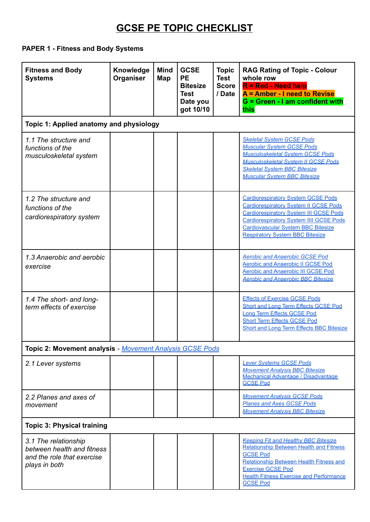#### **PAPER 1 - Fitness and Body Systems**

| <b>Fitness and Body</b><br><b>Systems</b>                                                         | Knowledge<br>Organiser | <b>Mind</b><br>Map | <b>GCSE</b><br><b>PE</b><br><b>Bitesize</b><br><b>Test</b><br>Date you<br>got 10/10 | <b>Topic</b><br><b>Test</b><br><b>Score</b><br>/ Date | <b>RAG Rating of Topic - Colour</b><br>whole row<br>R = Red - Need help<br>A = Amber - I need to Revise<br>G = Green - I am confident with<br>this                                                                                                                                  |  |  |
|---------------------------------------------------------------------------------------------------|------------------------|--------------------|-------------------------------------------------------------------------------------|-------------------------------------------------------|-------------------------------------------------------------------------------------------------------------------------------------------------------------------------------------------------------------------------------------------------------------------------------------|--|--|
| Topic 1: Applied anatomy and physiology                                                           |                        |                    |                                                                                     |                                                       |                                                                                                                                                                                                                                                                                     |  |  |
| 1.1 The structure and<br>functions of the<br>musculoskeletal system                               |                        |                    |                                                                                     |                                                       | <b>Skeletal System GCSE Pods</b><br><b>Muscular System GCSE Pods</b><br><b>Musculoskeletal System GCSE Pods</b><br><b>Musculoskeletal System II GCSE Pods</b><br><b>Skeletal System BBC Bitesize</b><br><b>Muscular System BBC Bitesize</b>                                         |  |  |
| 1.2 The structure and<br>functions of the<br>cardiorespiratory system                             |                        |                    |                                                                                     |                                                       | <b>Cardiorespiratory System GCSE Pods</b><br><b>Cardiorespiratory System II GCSE Pods</b><br><b>Cardiorespiratory System III GCSE Pods</b><br><b>Cardiorespiratory System IIII GCSE Pods</b><br><b>Cardiovascular System BBC Bitesize</b><br><b>Respiratory System BBC Bitesize</b> |  |  |
| 1.3 Anaerobic and aerobic<br>exercise                                                             |                        |                    |                                                                                     |                                                       | <b>Aerobic and Anaerobic GCSE Pod</b><br><b>Aerobic and Anaerobic II GCSE Pod</b><br><b>Aerobic and Anaerobic III GCSE Pod</b><br><b>Aerobic and Anaerobic BBC Bitesize</b>                                                                                                         |  |  |
| 1.4 The short- and long-<br>term effects of exercise                                              |                        |                    |                                                                                     |                                                       | <b>Effects of Exercise GCSE Pods</b><br><b>Short and Long Term Effects GCSE Pod</b><br>Long Term Effects GCSE Pod<br><b>Short Term Effects GCSE Pod</b><br><b>Short and Long Term Effects BBC Bitesize</b>                                                                          |  |  |
| Topic 2: Movement analysis - Movement Analysis GCSE Pods                                          |                        |                    |                                                                                     |                                                       |                                                                                                                                                                                                                                                                                     |  |  |
| 2.1 Lever systems                                                                                 |                        |                    |                                                                                     |                                                       | <b>Lever Systems GCSE Pods</b><br><b>Movement Analysis BBC Bitesize</b><br>Mechanical Advantage / Disadvantage<br><b>GCSE Pod</b>                                                                                                                                                   |  |  |
| 2.2 Planes and axes of<br>movement                                                                |                        |                    |                                                                                     |                                                       | <b>Movement Analysis GCSE Pods</b><br><b>Planes and Axes GCSE Pods</b><br><b>Movement Analysis BBC Bitesize</b>                                                                                                                                                                     |  |  |
| <b>Topic 3: Physical training</b>                                                                 |                        |                    |                                                                                     |                                                       |                                                                                                                                                                                                                                                                                     |  |  |
| 3.1 The relationship<br>between health and fitness<br>and the role that exercise<br>plays in both |                        |                    |                                                                                     |                                                       | <b>Keeping Fit and Healthy BBC Bitesize</b><br><b>Relationship Between Health and Fitness</b><br><b>GCSE Pod</b><br>Relationship Between Health Fitness and<br><b>Exercise GCSE Pod</b><br><b>Health Fitness Exercise and Performance</b><br><b>GCSE Pod</b>                        |  |  |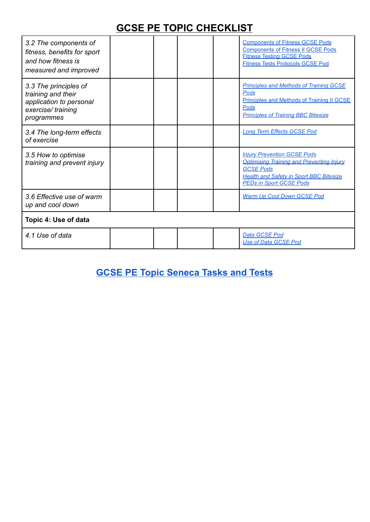| 3.2 The components of<br>fitness, benefits for sport<br>and how fitness is<br>measured and improved       |  |  |  |  | <b>Components of Fitness GCSE Pods</b><br><b>Components of Fitness II GCSE Pods</b><br><b>Fitness Testing GCSE Pods</b><br><b>Fitness Tests Protocols GCSE Pod</b>                             |
|-----------------------------------------------------------------------------------------------------------|--|--|--|--|------------------------------------------------------------------------------------------------------------------------------------------------------------------------------------------------|
| 3.3 The principles of<br>training and their<br>application to personal<br>exercise/training<br>programmes |  |  |  |  | <b>Principles and Methods of Training GCSE</b><br>Pods<br><b>Principles and Methods of Training II GCSE</b><br>Pods<br><b>Principles of Training BBC Bitesize</b>                              |
| 3.4 The long-term effects<br>of exercise                                                                  |  |  |  |  | <b>Long Term Effects GCSE Pod</b>                                                                                                                                                              |
| 3.5 How to optimise<br>training and prevent injury                                                        |  |  |  |  | <b>Injury Prevention GCSE Pods</b><br><b>Optimising Training and Preventing Injury</b><br><b>GCSE Pods</b><br><b>Health and Safety in Sport BBC Bitesize</b><br><b>PEDs in Sport GCSE Pods</b> |
| 3.6 Effective use of warm<br>up and cool down                                                             |  |  |  |  | Warm Up Cool Down GCSE Pod                                                                                                                                                                     |
| Topic 4: Use of data                                                                                      |  |  |  |  |                                                                                                                                                                                                |
| 4.1 Use of data                                                                                           |  |  |  |  | Data GCSE Pod<br><b>Use of Data GCSE Pod</b>                                                                                                                                                   |

**[GCSE PE Topic Seneca Tasks and Tests](https://docs.google.com/document/d/1bakI3p6dbLKY23j9tLZr9XrqdYjs6dUhQm0Z9TMrMWo/edit)**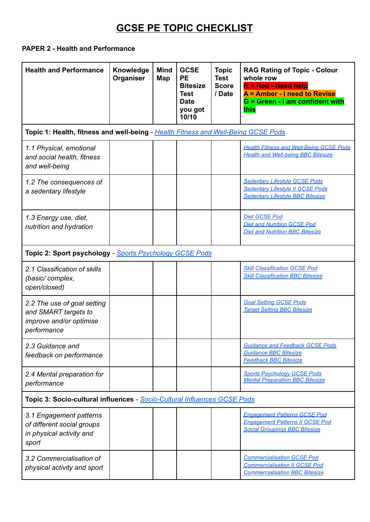#### **PAPER 2 - Health and Performance**

| <b>Health and Performance</b>                                                                 | Knowledge<br>Organiser | <b>Mind</b><br>Map | <b>GCSE</b><br><b>PE</b><br><b>Bitesize</b><br>Test<br><b>Date</b><br>you got<br>10/10 | <b>Topic</b><br><b>Test</b><br><b>Score</b><br>/ Date | <b>RAG Rating of Topic - Colour</b><br>whole row<br><b>R</b> = Red - Need help<br>A = Amber - I need to Revise<br>G = Green - I am confident with<br>this |  |  |
|-----------------------------------------------------------------------------------------------|------------------------|--------------------|----------------------------------------------------------------------------------------|-------------------------------------------------------|-----------------------------------------------------------------------------------------------------------------------------------------------------------|--|--|
| Topic 1: Health, fitness and well-being - Health Fitness and Well-Being GCSE Pods             |                        |                    |                                                                                        |                                                       |                                                                                                                                                           |  |  |
| 1.1 Physical, emotional<br>and social health, fitness<br>and well-being                       |                        |                    |                                                                                        |                                                       | <b>Health Fitness and Well-Being GCSE Pods</b><br><b>Health and Well-being BBC Bitesize</b>                                                               |  |  |
| 1.2 The consequences of<br>a sedentary lifestyle                                              |                        |                    |                                                                                        |                                                       | <b>Sedentary Lifestyle GCSE Pods</b><br>Sedentary Lifestyle II GCSE Pods<br><b>Sedentary Lifestyle BBC Bitesize</b>                                       |  |  |
| 1.3 Energy use, diet,<br>nutrition and hydration                                              |                        |                    |                                                                                        |                                                       | <b>Diet GCSE Pod</b><br><b>Diet and Nutrition GCSE Pod</b><br><b>Diet and Nutrition BBC Bitesize</b>                                                      |  |  |
| Topic 2: Sport psychology - Sports Psychology GCSE Pods                                       |                        |                    |                                                                                        |                                                       |                                                                                                                                                           |  |  |
| 2.1 Classification of skills<br>(basic/complex,<br>open/closed)                               |                        |                    |                                                                                        |                                                       | <b>Skill Classification GCSE Pod</b><br><b>Skill Classification BBC Bitesize</b>                                                                          |  |  |
| 2.2 The use of goal setting<br>and SMART targets to<br>improve and/or optimise<br>performance |                        |                    |                                                                                        |                                                       | <b>Goal Setting GCSE Pods</b><br><b>Target Setting BBC Bitesize</b>                                                                                       |  |  |
| 2.3 Guidance and<br>feedback on performance                                                   |                        |                    |                                                                                        |                                                       | <b>Guidance and Feedback GCSE Pods</b><br><b>Guidance BBC Bitesize</b><br><b>Feedback BBC Bitesize</b>                                                    |  |  |
| 2.4 Mental preparation for<br>performance                                                     |                        |                    |                                                                                        |                                                       | <b>Sports Psychology GCSE Pods</b><br><b>Mental Preparation BBC Bitesize</b>                                                                              |  |  |
| Topic 3: Socio-cultural influences - Socio-Cultural Influences GCSE Pods                      |                        |                    |                                                                                        |                                                       |                                                                                                                                                           |  |  |
| 3.1 Engagement patterns<br>of different social groups<br>in physical activity and<br>sport    |                        |                    |                                                                                        |                                                       | <b>Engagement Patterns GCSE Pod</b><br><b>Engagement Patterns II GCSE Pod</b><br><b>Social Groupings BBC Bitesize</b>                                     |  |  |
| 3.2 Commercialisation of<br>physical activity and sport                                       |                        |                    |                                                                                        |                                                       | <b>Commercialisation GCSE Pod</b><br><b>Commercialisation II GCSE Pod</b><br><b>Commercialisation BBC Bitesize</b>                                        |  |  |